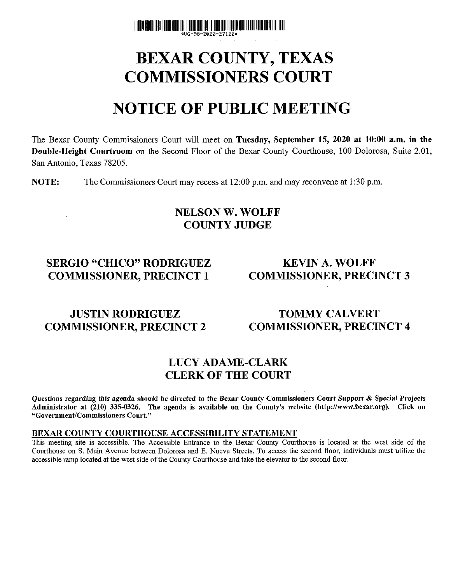

# BEXAR COUNTY, TEXAS COMMISSIONERS COURT

# NOTICE OF PUBLIC MEETING

The Bexar County Commissioners Court will meet on **Tuesday, September 15, 2020 at 10:00 a.m. in the Double-Height Courtroom** on the Second Floor of the Bexar County Courthouse, 100 Dolorosa, Suite 2.01, San Antonio, Texas 78205.

**NOTE:** The Commissioners Court may recess at 12:00 p.m. and may reconvene at 1:30 p.m.

## NELSON W. WOLFF COUNTY JUDGE

# SERGIO "CHICO" RODRIGUEZ KEVIN A. WOLFF COMMISSIONER, PRECINCT 1 COMMISSIONER, PRECINCT 3

# **JUSTIN RODRIGUEZ TOMMY CALVERT** COMMISSIONER, PRECINCT 2 COMMISSIONER, PRECINCT 4

# LUCY ADAME-CLARK CLERK OF THE COURT

Questions regarding this agenda should be directed to the Bexar County Commissioners Court Support & Special Projects Administrator at (210) 335-0326. The agenda is available on the County's website ([http://www.bexar.org\).](http://www.bexar.org) Click on "Government/Commissioners Court."

#### **BEXAR COUNTY COURTHOUSE ACCESSIBILITY** STATEMENT

This meeting site is accessible. The Accessible Entrance to the Bexar County Courthouse is located at the west side of the Courthouse on S. Main Avenue between Dolorosa and E. Nueva Streets. To access the second floor, individuals must utilize the accessible ramp located at the west side of the County Courthouse and take the elevator to the second floor.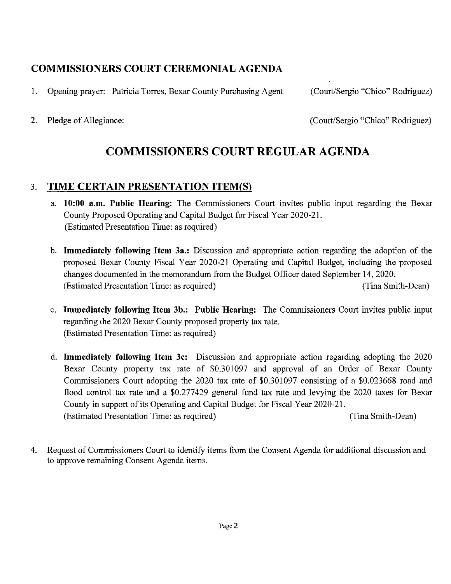# **COMMISSIONERS COURT CEREMONIAL AGENDA**

1. Opening prayer: Patricia Torres, Bexar County Purchasing Agent (Court/Sergio "Chico" Rodriguez)

2. Pledge of Allegiance: (Court/Sergio "Chico" Rodriguez)

# COMMISSIONERS COURT REGULAR AGENDA

# 3. **TIME CERTAIN PRESENTATION ITEM(S)**

- **a. 10:00 a.m. Public Hearing:** The Commissioners Court invites public input regarding the Bexar County Proposed Operating and Capital Budget for Fiscal Year 2020-21. (Estimated Presentation Time: as required)
- b. **Immediately following Item 3a.:** Discussion and appropriate action regarding the adoption of the proposed Bexar County Fiscal Year 2020-21 Operating and Capital Budget, including the proposed changes documented in the memorandum from the Budget Officer dated September 14, 2020. (Estimated Presentation Time: as required) (Tina Smith-Dean)
- c. **Immediately following Item 3b.: Public Hearing:** The Commissioners Court invites public input regarding the 2020 Bexar County proposed property tax rate. (Estimated Presentation Time: as required)
- d. **Immediately following Item** 3c: Discussion and appropriate action regarding adopting the 2020 Bexar County property tax rate of \$0.301097 and approval of an Order of Bexar County Commissioners Court adopting the 2020 tax rate of \$0.301097 consisting of a \$0.023668 road and flood control tax rate and a \$0.277429 general fund tax rate and levying the 2020 taxes for Bexar County in support of its Operating and Capital Budget for Fiscal Year 2020-21. (Estimated Presentation Time: as required) (Tina Smith-Dean)
- 4. Request of Commissioners Court to identify items from the Consent Agenda for additional discussion and to approve remaining Consent Agenda items.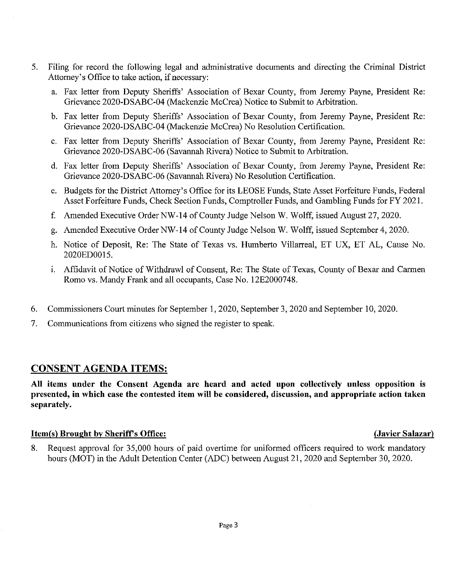- 5. Filing for record the following legal and administrative documents and directing the Criminal District Attorney's Office to take action, if necessary:
	- a. Fax letter from Deputy Sheriffs' Association of Bexar County, from Jeremy Payne, President Re: Grievance 2020-DSABC-04 (Mackenzie McCrea) Notice to Submit to Arbitration.
	- b. Fax letter from Deputy Sheriffs' Association of Bexar County, from Jeremy Payne, President Re: Grievance 2020-DSABC-04 (Mackenzie McCrea) No Resolution Certification.
	- c. Fax letter from Deputy Sheriffs' Association of Bexar County, from Jeremy Payne, President Re: Grievance 2020-DSABC-06 (Savannah Rivera) Notice to Submit to Arbitration.
	- d. Fax letter from Deputy Sheriffs' Association of Bexar County, from Jeremy Payne, President Re: Grievance 2020-DSABC-06 (Savannah Rivera) No Resolution Certification.
	- e. Budgets for the District Attorney's Office for its LEOSE Funds, State Asset Forfeiture Funds, Federal Asset Forfeiture Funds, Check Section Funds, Comptroller Funds, and Gambling Funds for FY 2021.
	- f. Amended Executive Order NW-14 of County Judge Nelson W. Wolff, issued August 27, 2020.
	- g. Amended Executive Order NW-14 of County Judge Nelson W. Wolff, issued September 4, 2020.
	- h. Notice of Deposit, Re: The State of Texas vs. Humberto Villarreal, ET UX, ET AL, Cause No. 2020ED0015.
	- i. Affidavit of Notice of Withdrawl of Consent, Re: The State of Texas, County of Bexar and Carmen Romo vs. Mandy Frank and all occupants, Case No. 12E2000748.
- 6. Commissioners Court minutes for September 1, 2020, September 3, 2020 and September 10, 2020.
- 7. Communications from citizens who signed the register to speak.

# CONSENT AGENDA ITEMS:

**All items under the Consent Agenda are heard and acted upon collectively unless opposition is presented, in which case the contested item will be considered, discussion, and appropriate action taken separately.** 

### **Item(s) Brought by Sheriff's Office:** (Javier Salazar)  $($ Javier Salazar)  $)$

8. Request approval for 35,000 hours of paid overtime for uniformed officers required to work mandatory hours (MOT) in the Adult Detention Center (ADC) between August 21, 2020 and September 30, 2020.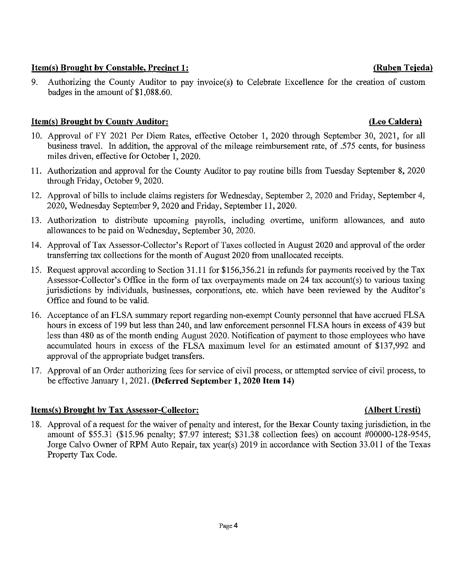### 2020, Wednesday September 9, 2020 and Friday, September 11, 2020.

miles driven, effective for October 1, 2020.

through Friday, October 9, 2020.

13. Authorization to distribute upcoming payrolls, including overtime, uniform allowances, and auto allowances to be paid on Wednesday, September 30, 2020.

11. Authorization and approval for the County Auditor to pay routine bills from Tuesday September 8, 2020

12. Approval of bills to include claims registers for Wednesday, September 2, 2020 and Friday, September 4,

- 14. Approval of Tax Assessor-Collector's Report of Taxes collected in August 2020 and approval of the order transferring tax collections for the month of August 2020 from unallocated receipts.
- 15. Request approval according to Section 31.11 for \$156,356.21 in refunds for payments received by the Tax Assessor-Collector's Office in the form of tax overpayments made on 24 tax account(s) to various taxing jurisdictions by individuals, businesses, corporations, etc. which have been reviewed by the Auditor's Office and found to be valid.
- 16. Acceptance of an FLSA summary report regarding non-exempt County personnel that have accrued FLSA hours in excess of 199 but less than 240, and law enforcement personnel FLSA hours in excess of 439 but less than 480 as of the month ending August 2020. Notification of payment to those employees who have accumulated hours in excess of the FLSA maximum level for an estimated amount of \$137,992 and approval of the appropriate budget transfers.
- 17. Approval of an Order authorizing fees for service of civil process, or attempted service of civil process, to be effective January 1, 2021. **(Deferred September 1,2020 Item 14)**

#### **Items(s) Brought by Tax Assessor-Collector: (Albert Uresti)**

18. Approval of a request for the waiver of penalty and interest, for the Bexar County taxing jurisdiction, in the amount of \$55.31 (\$15.96 penalty; \$7.97 interest; \$31.38 collection fees) on account #00000-128-9545, Jorge Calvo Owner of RPM Auto Repair, tax year(s) 2019 in accordance with Section 33.011 of the Texas Property Tax Code.

### **Item(s) Brought by County Auditor: (Leo Caldera)**  10. Approval of FY 2021 Per Diem Rates, effective October 1, 2020 through September 30, 2021, for all

#### **Item(s) Brought by Constable, Precinct 1: (Ruben Tejeda)**

9. Authorizing the County Auditor to pay invoice(s) to Celebrate Excellence for the creation of custom badges in the amount of \$1,088.60.

business travel. In addition, the approval of the mileage reimbursement rate, of .575 cents, for business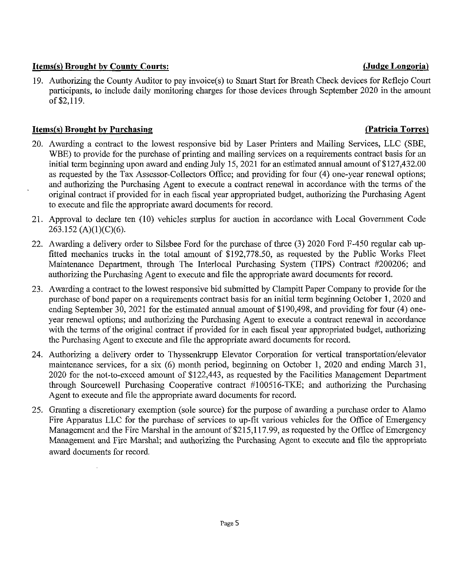#### **Items(s) Brought by County Courts: (Judge Longoria)**

19. Authorizing the County Auditor to pay invoice(s) to Smart Start for Breath Check devices for Reflejo Court participants, to include daily monitoring charges for those devices through September 2020 in the amount of \$2,119.

### **Items(s) Brought by Purchasing (Patricia Torres)**

- 20. Awarding a contract to the lowest responsive bid by Laser Printers and Mailing Services, LLC (SBE, WBE) to provide for the purchase of printing and mailing services on a requirements contract basis for an initial term beginning upon award and ending July 15, 2021 for an estimated annual amount of \$127,432.00 as requested by the Tax Assessor-Collectors Office; and providing for four (4) one-year renewal options; and authorizing the Purchasing Agent to execute a contract renewal in accordance with the terms of the original contract if provided for in each fiscal year appropriated budget, authorizing the Purchasing Agent to execute and file the appropriate award documents for record.
- 21. Approval to declare ten (10) vehicles surplus for auction in accordance with Local Government Code 263.152 (A)(1)(C)(6).
- 22. Awarding a delivery order to Silsbee Ford for the purchase of three (3) 2020 Ford F-450 regular cab upfitted mechanics trucks in the total amount of \$192,778.50, as requested by the Public Works Fleet Maintenance Department, through The Interlocal Purchasing System (TIPS) Contract #200206; and authorizing the Purchasing Agent to execute and file the appropriate award documents for record.
- 23. Awarding a contract to the lowest responsive bid submitted by Clampitt Paper Company to provide for the purchase of bond paper on a requirements contract basis for an initial term beginning October 1, 2020 and ending September 30, 2021 for the estimated annual amount of \$190,498, and providing for four (4) oneyear renewal options; and authorizing the Purchasing Agent to execute a contract renewal in accordance with the terms of the original contract if provided for in each fiscal year appropriated budget, authorizing the Purchasing Agent to execute and file the appropriate award documents for record.
- 24. Authorizing a delivery order to Thyssenkrupp Elevator Corporation for vertical transportation/elevator maintenance services, for a six (6) month period, beginning on October 1, 2020 and ending March 31, 2020 for the not-to-exceed amount of \$122,443, as requested by the Facilities Management Department through Sourcewell Purchasing Cooperative contract #100516-TKE; and authorizing the Purchasing Agent to execute and file the appropriate award documents for record.
- 25. Granting a discretionary exemption (sole source) for the purpose of awarding a purchase order to Alamo Fire Apparatus LLC for the purchase of services to up-fit various vehicles for the Office of Emergency Management and the Fire Marshal in the amount of \$215,117.99, as requested by the Office of Emergency Management and Fire Marshal; and authorizing the Purchasing Agent to execute and file the appropriate award documents for record.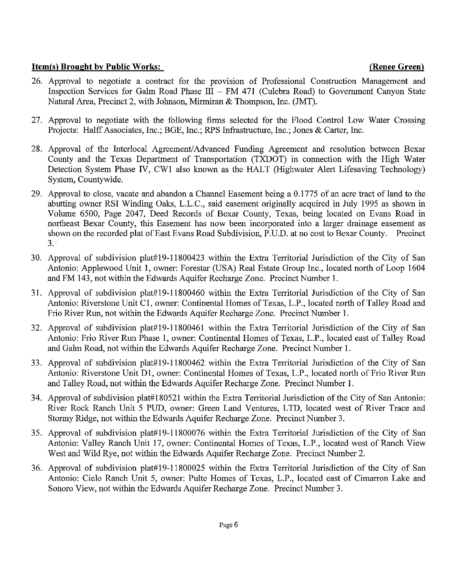#### **Item(s) Brought by Public Works: (Renee Green)**

- 26. Approval to negotiate a contract for the provision of Professional Construction Management and Inspection Services for Galm Road Phase III - FM 471 (Culebra Road) to Government Canyon State Natural Area, Precinct 2, with Johnson, Mirmiran & Thompson, Inc. (JMT).
- 27. Approval to negotiate with the following firms selected for the Flood Control Low Water Crossing Projects: Halff Associates, Inc.; BGE, Inc.; RPS Infrastructure, Inc.; Jones & Carter, Inc.
- 28. Approval of the Interlocal Agreement/Advanced Funding Agreement and resolution between Bexar County and the Texas Department of Transportation (TXDOT) in connection with the High Water Detection System Phase IV, CW1 also known as the HALT (Highwater Alert Lifesaving Technology) System, Countywide.
- 29. Approval to close, vacate and abandon a Channel Easement being a 0.1775 of an acre tract of land to the abutting owner RSI Winding Oaks, L.L.C., said easement originally acquired in July 1995 as shown in Volume 6500, Page 2047, Deed Records of Bexar County, Texas, being located on Evans Road in northeast Bexar County, this Easement has now been incorporated into a larger drainage easement as shown on the recorded plat of East Evans Road Subdivision, P.U.D. at no cost to Bexar County. Precinct  $3.$
- 30. Approval of subdivision plat#19-l 1800423 within the Extra Territorial Jurisdiction of the City of San Antonio: Applewood Unit 1, owner: Forestar (USA) Real Estate Group Inc., located north of Loop 1604 and FM 143, not within the Edwards Aquifer Recharge Zone. Precinct Number 1.
- 31. Approval of subdivision plat#19-l 1800460 within the Extra Territorial Jurisdiction of the City of San Antonio: Riverstone Unit Cl, owner: Continental Homes of Texas, L.P., located north of Talley Road and Frio River Run, not within the Edwards Aquifer Recharge Zone. Precinct Number 1.
- 32. Approval of subdivision plat#19-l 1800461 within the Extra Territorial Jurisdiction of the City of San Antonio: Frio River Run Phase 1, owner: Continental Homes of Texas, L.P., located east of Talley Road and Galm Road, not within the Edwards Aquifer Recharge Zone. Precinct Number 1.
- 33. Approval of subdivision plat#19-11800462 within the Extra Territorial Jurisdiction of the City of San Antonio: Riverstone Unit Dl, owner: Continental Homes of Texas, L.P., located north of Frio River Run and Talley Road, not within the Edwards Aquifer Recharge Zone. Precinct Number 1.
- 34. Approval of subdivision plat#180521 within the Extra Territorial Jurisdiction of the City of San Antonio: River Rock Ranch Unit 5 PUD, owner: Green Land Ventures, LTD, located west of River Trace and Stormy Ridge, not within the Edwards Aquifer Recharge Zone. Precinct Number 3.
- 35. Approval of subdivision plat#l 9-11800076 within the Extra Territorial Jurisdiction of the City of San Antonio: Valley Ranch Unit 17, owner: Continental Homes of Texas, L.P., located west of Ranch View West and Wild Rye, not within the Edwards Aquifer Recharge Zone. Precinct Number 2.
- 36. Approval of subdivision plat#19-11800025 within the Extra Territorial Jurisdiction of the City of San Antonio: Cielo Ranch Unit 5, owner: Pulte Homes of Texas, L.P., located east of Cimarron Lake and Sonoro View, not within the Edwards Aquifer Recharge Zone. Precinct Number 3.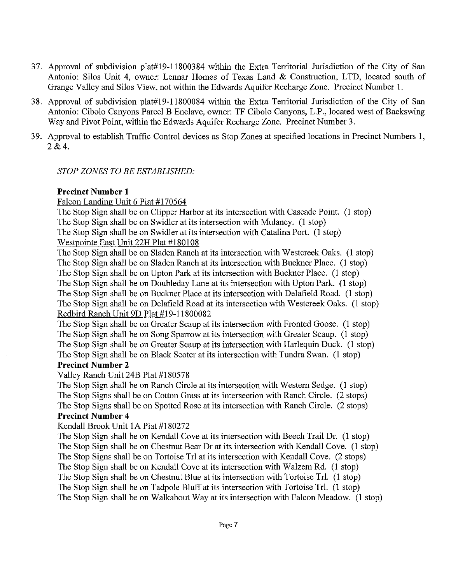- 37. Approval of subdivision plat# 19-11800384 within the Extra Territorial Jurisdiction of the City of San Antonio: Silos Unit 4, owner: Lennar Homes of Texas Land & Construction, LTD, located south of Grange Valley and Silos View, not within the Edwards Aquifer Recharge Zone. Precinct Number 1.
- 38. Approval of subdivision plat#19-l 1800084 within the Extra Territorial Jurisdiction of the City of San Antonio: Cibolo Canyons Parcel B Enclave, owner: TF Cibolo Canyons, L.P., located west of Backswing Way and Pivot Point, within the Edwards Aquifer Recharge Zone. Precinct Number 3.
- 39. Approval to establish Traffic Control devices as Stop Zones at specified locations in Precinct Numbers 1, 2&4.

#### *STOP ZONES TO BE ESTABLISHED:*

### **Precinct Number 1**

Falcon Landing Unit 6 Plat #170564

The Stop Sign shall be on Clipper Harbor at its intersection with Cascade Point. (1 stop) The Stop Sign shall be on Swidler at its intersection with Mulaney. (1 stop) The Stop Sign shall be on Swidler at its intersection with Catalina Port. (1 stop) Westpointe East Unit 22H Plat #180108

The Stop Sign shall be on Sladen Ranch at its intersection with Westcreek Oaks. (1 stop) The Stop Sign shall be on Sladen Ranch at its intersection with Buckner Place. (1 stop) The Stop Sign shall be on Upton Park at its intersection with Buckner Place. (1 stop) The Stop Sign shall be on Doubleday Lane at its intersection with Upton Park. (1 stop) The Stop Sign shall be on Buckner Place at its intersection with Delafield Road. (1 stop) The Stop Sign shall be on Delafield Road at its intersection with Westcreek Oaks. (1 stop) Redbird Ranch Unit 9D Plat #19-11800082

The Stop Sign shall be on Greater Scaup at its intersection with Fronted Goose. (1 stop) The Stop Sign shall be on Song Sparrow at its intersection with Greater Scaup. (1 stop) The Stop Sign shall be on Greater Scaup at its intersection with Harlequin Duck. (1 stop) The Stop Sign shall be on Black Scoter at its intersection with Tundra Swan. (1 stop) **Precinct Number 2** 

Valley Ranch Unit 24B Plat #180578

The Stop Sign shall be on Ranch Circle at its intersection with Western Sedge. (1 stop) The Stop Signs shall be on Cotton Grass at its intersection with Ranch Circle. (2 stops) The Stop Signs shall be on Spotted Rose at its intersection with Ranch Circle. (2 stops) **Precinct Number 4** 

### Kendall Brook Unit 1A Plat #180272

The Stop Sign shall be on Kendall Cove at its intersection with Beech Trail Dr. (1 stop) The Stop Sign shall be on Chestnut Bear Dr at its intersection with Kendall Cove. (1 stop) The Stop Signs shall be on Tortoise Trl at its intersection with Kendall Cove. (2 stops) The Stop Sign shall be on Kendall Cove at its intersection with Walzem Rd. (1 stop) The Stop Sign shall be on Chestnut Blue at its intersection with Tortoise Trl. (1 stop) The Stop Sign shall be on Tadpole Bluff at its intersection with Tortoise Trl. (1 stop) The Stop Sign shall be on Walkabout Way at its intersection with Falcon Meadow. (1 stop)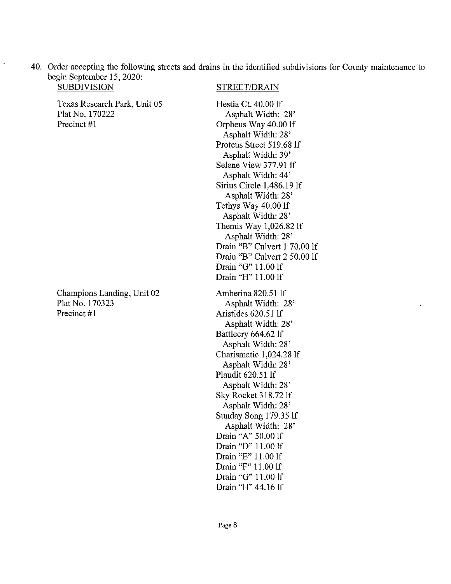40. Order accepting the following streets and drains in the identified subdivisions for County maintenance to begin September 15, 2020:

Texas Research Park, Unit 05 Plat No. 170222 Precinct #1

Champions Landing, Unit 02 Plat No. 170323 Precinct #1

#### STREET/DRAIN

Hestia Ct. 40.00 lf Asphalt Width: 28' Orpheus Way 40.00 If Asphalt Width: 28' Proteus Street 519.68 If Asphalt Width: 39' Selene View 377.91 If Asphalt Width: 44' Sirius Circle 1,486.19 If Asphalt Width: 28' Tethys Way 40.00 If Asphalt Width: 28' Themis Way 1,026.82 If Asphalt Width: 28' Drain "B" Culvert 1 70.00 lf Drain "B" Culvert 2 50.00 If Drain "G" 11.00 If Drain "H" 11.00 If

Amberina 820.51 If Asphalt Width: 28' Aristides 620.51 If Asphalt Width: 28' Battlecry 664.62 If Asphalt Width: 28' Charismatic 1,024.28 If Asphalt Width: 28' Plaudit 620.51 If Asphalt Width: 28' Sky Rocket 318.72 If Asphalt Width: 28' Sunday Song 179.35 If Asphalt Width: 28' Drain "A" 50.00 If Drain "D" 11.00 If Drain "E" 11.00 If Drain "F" 11.00 If Drain "G" 11.00 If Drain "H" 44.16 If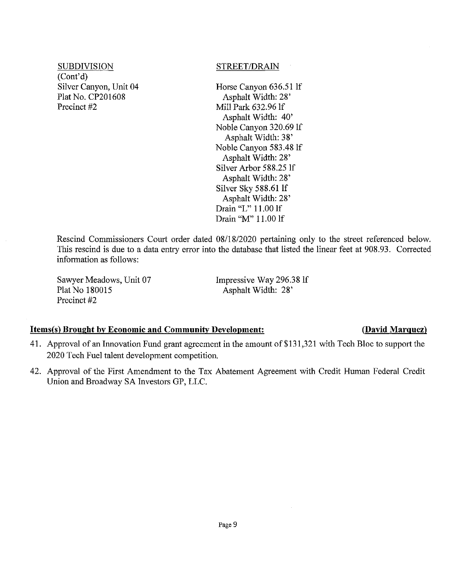SUBDIVISION STREET/DRAIN (Cont'd) Silver Canyon, Unit 04 Plat No. CP201608 Precinct #2

Horse Canyon 636.51 If Asphalt Width: 28' Mill Park 632.96 If Asphalt Width: 40' Noble Canyon 320.69 If Asphalt Width: 38' Noble Canyon 583.48 If Asphalt Width: 28' Silver Arbor 588.25 If Asphalt Width: 28' Silver Sky 588.61 If Asphalt Width: 28' Drain "L" 11.00 If Drain "M" 11.00 If

Rescind Commissioners Court order dated 08/18/2020 pertaining only to the street referenced below. This rescind is due to a data entry error into the database that listed the linear feet at 908.93. Corrected information as follows:

Sawyer Meadows, Unit 07 Plat No 180015 Precinct #2

Impressive Way 296.38 If Asphalt Width: 28'

#### **Items(s) Brought by Economic and Community Development:** (David Marquez)

### 41. Approval of an Innovation Fund grant agreement in the amount of \$131,321 with Tech Bloc to support the 2020 Tech Fuel talent development competition.

42. Approval of the First Amendment to the Tax Abatement Agreement with Credit Human Federal Credit Union and Broadway SA Investors GP, LLC.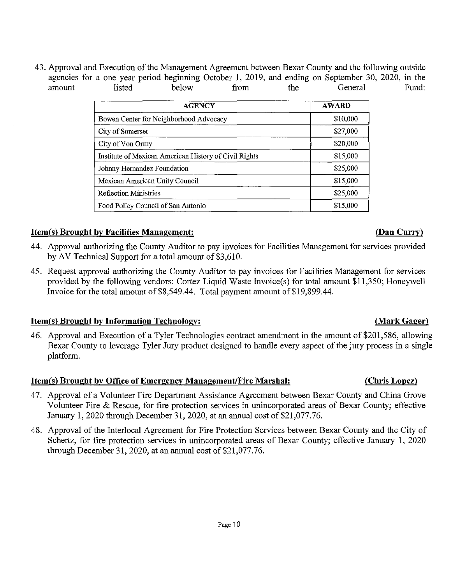43. Approval and Execution of the Management Agreement between Bexar County and the following outside agencies for a one year period beginning October 1, 2019, and ending on September 30, 2020, in the amount listed below from the General Fund: amount listed below from the General Fund:

| <b>AGENCY</b>                                         | <b>AWARD</b> |
|-------------------------------------------------------|--------------|
| Bowen Center for Neighborhood Advocacy                | \$10,000     |
| City of Somerset                                      | \$27,000     |
| City of Von Ormy                                      | \$20,000     |
| Institute of Mexican American History of Civil Rights | \$15,000     |
| Johnny Hernandez Foundation                           | \$25,000     |
| Mexican American Unity Council                        | \$15,000     |
| <b>Reflection Ministries</b>                          | \$25,000     |
| Food Policy Council of San Antonio                    | \$15,000     |

#### **Item(s) Brought by Facilities Management: (Dan Curry)**

- 44. Approval authorizing the County Auditor to pay invoices for Facilities Management for services provided by AV Technical Support for atotal amount of \$3,610.
- 45. Request approval authorizing the County Auditor to pay invoices for Facilities Management for services provided by the following vendors: Cortez Liquid Waste Invoice(s) for total amount \$11,350; Honeywell Invoice for the total amount of \$8,549.44. Total payment amount of \$19,899.44.

### **Item(s) Brought by Information Technology: (Mark Gager)**

46. Approval and Execution of a Tyler Technologies contract amendment in the amount of \$201,586, allowing Bexar County to leverage Tyler Jury product designed to handle every aspect of the jury process in a single platform.

### **Item(s) Brought by Office of Emergency Management/Fire Marshal:** (Chris Lopez)

- 47. Approval of a Volunteer Fire Department Assistance Agreement between Bexar County and China Grove Volunteer Fire & Rescue, for fire protection services in unincorporated areas of Bexar County; effective January 1, 2020 through December 31, 2020, at an annual cost of \$21,077.76.
- 48. Approval of the Interlocal Agreement for Fire Protection Services between Bexar County and the City of Schertz, for fire protection services in unincorporated areas of Bexar County; effective January 1, 2020 through December 31, 2020, at an annual cost of \$21,077.76.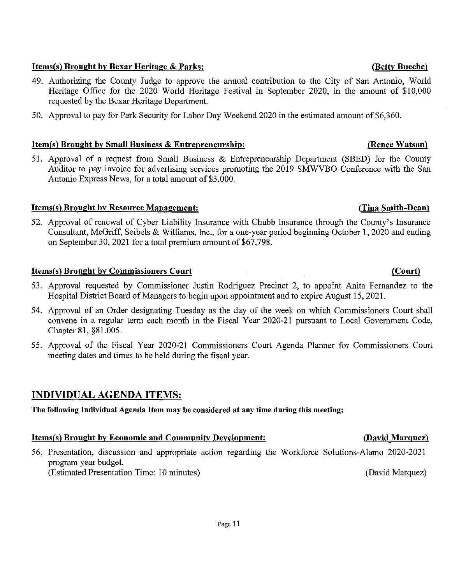### **Items(s) Brought by Bexar Heritage & Parks:** (Betty Bueche) **(Betty Bueche**)

- 49. Authorizing the County Judge to approve the annual contribution to the City of San Antonio, World Heritage Office for the 2020 World Heritage Festival in September 2020, in the amount of \$10,000 requested by the Bexar Heritage Department.
- 50. Approval to pay for Park Security for Labor Day Weekend 2020 in the estimated amount of \$6,360.

### **Item(s) Brought by Small Business & Entrepreneurship: (Renee Watson)**

51. Approval of a request from Small Business & Entrepreneurship Department (SBED) for the County Auditor to pay invoice for advertising services promoting the 2019 SMWVBO Conference with the San Antonio Express News, for a total amount of \$3,000.

### **Items(s) Brought by Resource Management: (Tina Smith-Dean)**

52. Approval of renewal of Cyber Liability Insurance with Chubb Insurance through the County's Insurance Consultant, McGriff, Seibels & Williams, Inc., for a one-year period beginning October 1, 2020 and ending on September 30, 2021 for atotal premium amount of \$67,798.

### **Items(s) Brought by Commissioners Court (Court)** (Court)

- 53. Approval requested by Commissioner Justin Rodriguez Precinct 2, to appoint Anita Fernandez to the Hospital District Board of Managers to begin upon appointment and to expire August 15, 2021.
- 54. Approval of an Order designating Tuesday as the day of the week on which Commissioners Court shall convene in a regular term each month in the Fiscal Year 2020-21 pursuant to Local Government Code, Chapter 81, §81.005.
- 55. Approval of the Fiscal Year 2020-21 Commissioners Court Agenda Planner for Commissioners Court meeting dates and times to be held during the fiscal year.

### INDIVIDUAL AGENDA ITEMS:

**The following Individual Agenda Item may be considered at any time during this meeting:** 

### **Items(s) Brought by Economic and Community Development: (David Marquez)**

56. Presentation, discussion and appropriate action regarding the Workforce Solutions-Alamo 2020-2021 program year budget. (Estimated Presentation Time: 10 minutes) (David Marquez)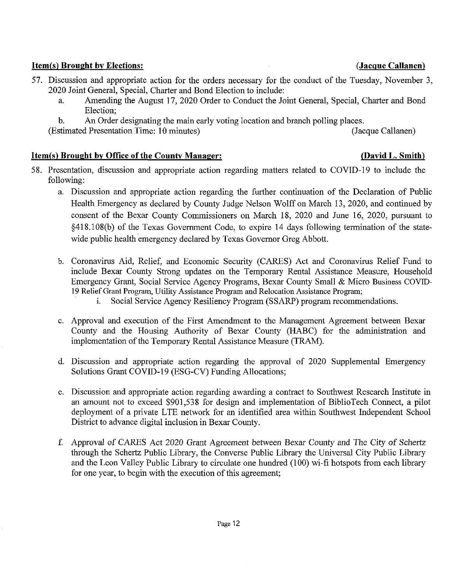#### **Item(s) Brought by Elections: (Jacque Callanen)**

- 57. Discussion and appropriate action for the orders necessary for the conduct of the Tuesday, November 3, 2020 Joint General, Special, Charter and Bond Election to include:
	- a. Amending the August 17, 2020 Order to Conduct the Joint General, Special, Charter and Bond Election;
	- b. An Order designating the main early voting location and branch polling places.

(Estimated Presentation Time: 10 minutes) (Jacque Callanen)

### **Item(s) Brought by Office of the County Manager:** (David L. Smith) *David L. Smith*

- 58. Presentation, discussion and appropriate action regarding matters related to COVID-19 to include the following:
	- a. Discussion and appropriate action regarding the further continuation of the Declaration of Public Health Emergency as declared by County Judge Nelson Wolff on March 13, 2020, and continued by consent of the Bexar County Commissioners on March 18, 2020 and June 16, 2020, pursuant to §418.108(b) of the Texas Government Code, to expire 14 days following termination of the statewide public health emergency declared by Texas Governor Greg Abbott.
	- b. Coronavirus Aid, Relief, and Economic Security (CARES) Act and Coronavirus Relief Fund to include Bexar County Strong updates on the Temporary Rental Assistance Measure, Household Emergency Grant, Social Service Agency Programs, Bexar County Small & Micro Business COVTD-19 Relief Grant Program, Utility Assistance Program and Relocation Assistance Program;
		- i. Social Service Agency Resiliency Program (SSARP) program recommendations.
	- c. Approval and execution of the First Amendment to the Management Agreement between Bexar County and the Housing Authority of Bexar County (HABC) for the administration and implementation of the Temporary Rental Assistance Measure (TRAM).
	- d. Discussion and appropriate action regarding the approval of 2020 Supplemental Emergency Solutions Grant COVID-19 (ESG-CV) Funding Allocations;
	- e. Discussion and appropriate action regarding awarding a contract to Southwest Research Institute in an amount not to exceed \$901,538 for design and implementation of BiblioTech Connect, a pilot deployment of a private LTE network for an identified area within Southwest Independent School District to advance digital inclusion in Bexar County.
	- f. Approval of CARES Act 2020 Grant Agreement between Bexar County and The City of Schertz through the Schertz Public Library, the Converse Public Library the Universal City Public Library and the Leon Valley Public Library to circulate one hundred (100) wi-fi hotspots from each library for one year, to begin with the execution of this agreement;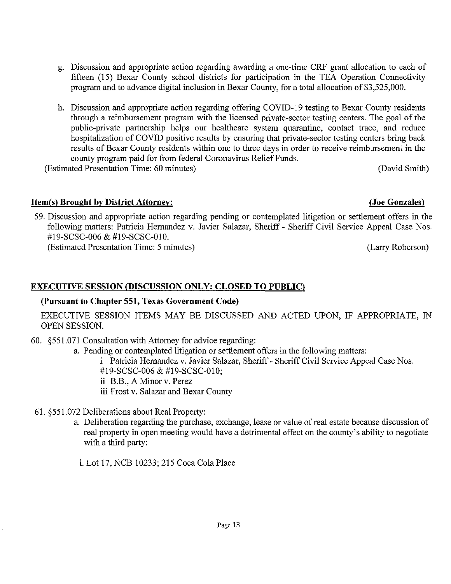- g. Discussion and appropriate action regarding awarding a one-time CRF grant allocation to each of fifteen (15) Bexar County school districts for participation in the TEA Operation Connectivity program and to advance digital inclusion in Bexar County, for a total allocation of \$3,525,000.
- h. Discussion and appropriate action regarding offering COVID-19 testing to Bexar County residents through a reimbursement program with the licensed private-sector testing centers. The goal of the public-private partnership helps our healthcare system quarantine, contact trace, and reduce hospitalization of COVID positive results by ensuring that private-sector testing centers bring back results of Bexar County residents within one to three days in order to receive reimbursement in the county program paid for from federal Coronavirus Relief Funds.

(Estimated Presentation Time: 60 minutes) (David Smith)

### **Item(s) Brought by District Attorney: (Joe Gonzales)**

59. Discussion and appropriate action regarding pending or contemplated litigation or settlement offers in the following matters: Patricia Hernandez v. Javier Salazar, Sheriff - Sheriff Civil Service Appeal Case Nos. #19-SCSC-006 & #19-SCSC-010. (Estimated Presentation Time: 5 minutes) (Larry Roberson)

### **EXECUTIVE SESSION (DISCUSSION ONLY: CLOSED TO PUBLIC)**

### **(Pursuant to Chapter 551, Texas Government Code)**

EXECUTIVE SESSION ITEMS MAY BE DISCUSSED AND ACTED UPON, IF APPROPRIATE, IN OPEN SESSION.

60. §551.071 Consultation with Attorney for advice regarding:

a. Pending or contemplated litigation or settlement offers in the following matters:

i Patricia Hernandez v. Javier Salazar, Sheriff- Sheriff Civil Service Appeal Case Nos. #19-SCSC-006 & #19-SCSC-010;

ii B.B., A Minor v. Perez

- iii Frost v. Salazar and Bexar County
- 61. §551.072 Deliberations about Real Property:
	- a. Deliberation regarding the purchase, exchange, lease or value of real estate because discussion of real property in open meeting would have a detrimental effect on the county's ability to negotiate with a third party:
		- i. Lot 17,NCB 10233; 215 Coca Cola Place